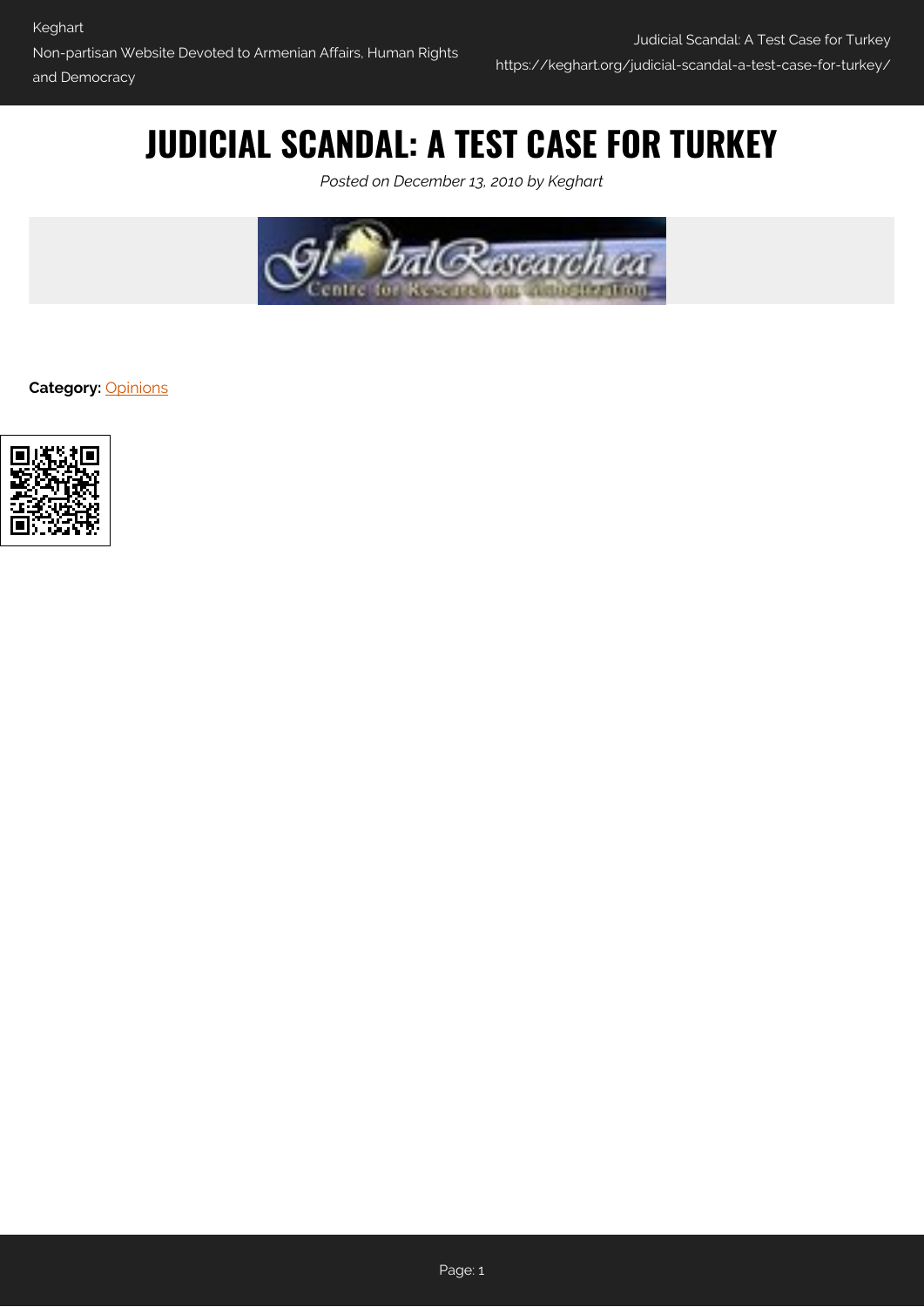# **JUDICIAL SCANDAL: A TEST CASE FOR TURKEY**

*Posted on December 13, 2010 by Keghart*



**Category:** [Opinions](https://keghart.org/category/opinions/)

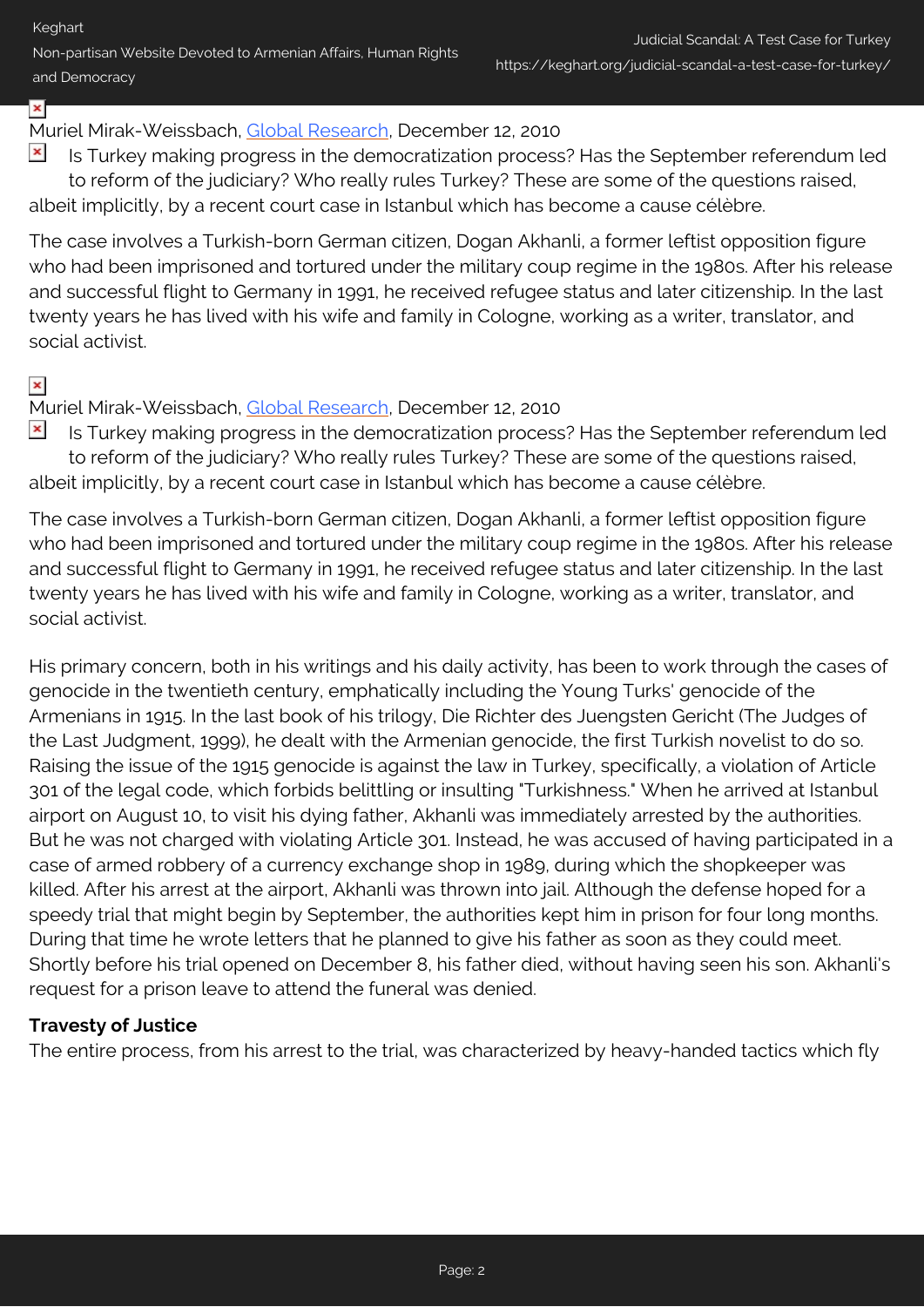Non-partisan Website Devoted to Armenian Affairs, Human Rights and Democracy

# ×

## Muriel Mirak-Weissbach, [Global Research](http://www.globalresearch.ca/index.php?context=va&aid=22381), December 12, 2010

 $\pmb{\times}$ Is Turkey making progress in the democratization process? Has the September referendum led to reform of the judiciary? Who really rules Turkey? These are some of the questions raised, albeit implicitly, by a recent court case in Istanbul which has become a cause célèbre.

The case involves a Turkish-born German citizen, Dogan Akhanli, a former leftist opposition figure who had been imprisoned and tortured under the military coup regime in the 1980s. After his release and successful flight to Germany in 1991, he received refugee status and later citizenship. In the last twenty years he has lived with his wife and family in Cologne, working as a writer, translator, and social activist.

### $\pmb{\times}$

#### Muriel Mirak-Weissbach, [Global Research](http://www.globalresearch.ca/index.php?context=va&aid=22381), December 12, 2010

 $\pmb{\times}$ Is Turkey making progress in the democratization process? Has the September referendum led to reform of the judiciary? Who really rules Turkey? These are some of the questions raised, albeit implicitly, by a recent court case in Istanbul which has become a cause célèbre.

The case involves a Turkish-born German citizen, Dogan Akhanli, a former leftist opposition figure who had been imprisoned and tortured under the military coup regime in the 1980s. After his release and successful flight to Germany in 1991, he received refugee status and later citizenship. In the last twenty years he has lived with his wife and family in Cologne, working as a writer, translator, and social activist.

His primary concern, both in his writings and his daily activity, has been to work through the cases of genocide in the twentieth century, emphatically including the Young Turks' genocide of the Armenians in 1915. In the last book of his trilogy, Die Richter des Juengsten Gericht (The Judges of the Last Judgment, 1999), he dealt with the Armenian genocide, the first Turkish novelist to do so. Raising the issue of the 1915 genocide is against the law in Turkey, specifically, a violation of Article 301 of the legal code, which forbids belittling or insulting "Turkishness." When he arrived at Istanbul airport on August 10, to visit his dying father, Akhanli was immediately arrested by the authorities. But he was not charged with violating Article 301. Instead, he was accused of having participated in a case of armed robbery of a currency exchange shop in 1989, during which the shopkeeper was killed. After his arrest at the airport, Akhanli was thrown into jail. Although the defense hoped for a speedy trial that might begin by September, the authorities kept him in prison for four long months. During that time he wrote letters that he planned to give his father as soon as they could meet. Shortly before his trial opened on December 8, his father died, without having seen his son. Akhanli's request for a prison leave to attend the funeral was denied.

#### **Travesty of Justice**

The entire process, from his arrest to the trial, was characterized by heavy-handed tactics which fly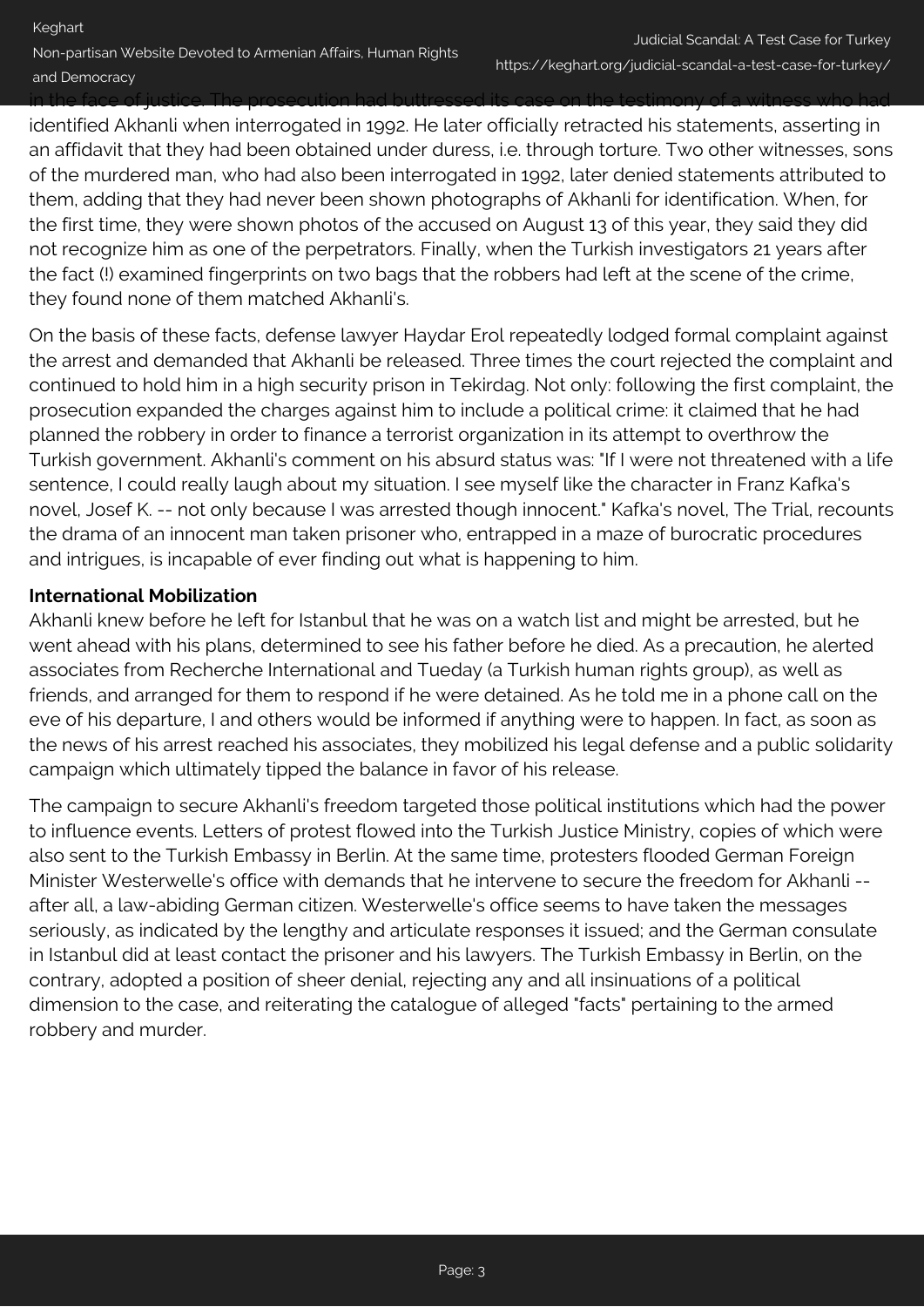identified Akhanli when interrogated in 1992. He later officially retracted his statements, asserting in an affidavit that they had been obtained under duress, i.e. through torture. Two other witnesses, sons of the murdered man, who had also been interrogated in 1992, later denied statements attributed to them, adding that they had never been shown photographs of Akhanli for identification. When, for the first time, they were shown photos of the accused on August 13 of this year, they said they did not recognize him as one of the perpetrators. Finally, when the Turkish investigators 21 years after the fact (!) examined fingerprints on two bags that the robbers had left at the scene of the crime, they found none of them matched Akhanli's.

On the basis of these facts, defense lawyer Haydar Erol repeatedly lodged formal complaint against the arrest and demanded that Akhanli be released. Three times the court rejected the complaint and continued to hold him in a high security prison in Tekirdag. Not only: following the first complaint, the prosecution expanded the charges against him to include a political crime: it claimed that he had planned the robbery in order to finance a terrorist organization in its attempt to overthrow the Turkish government. Akhanli's comment on his absurd status was: "If I were not threatened with a life sentence, I could really laugh about my situation. I see myself like the character in Franz Kafka's novel, Josef K. -- not only because I was arrested though innocent." Kafka's novel, The Trial, recounts the drama of an innocent man taken prisoner who, entrapped in a maze of burocratic procedures and intrigues, is incapable of ever finding out what is happening to him.

#### **International Mobilization**

Akhanli knew before he left for Istanbul that he was on a watch list and might be arrested, but he went ahead with his plans, determined to see his father before he died. As a precaution, he alerted associates from Recherche International and Tueday (a Turkish human rights group), as well as friends, and arranged for them to respond if he were detained. As he told me in a phone call on the eve of his departure, I and others would be informed if anything were to happen. In fact, as soon as the news of his arrest reached his associates, they mobilized his legal defense and a public solidarity campaign which ultimately tipped the balance in favor of his release.

The campaign to secure Akhanli's freedom targeted those political institutions which had the power to influence events. Letters of protest flowed into the Turkish Justice Ministry, copies of which were also sent to the Turkish Embassy in Berlin. At the same time, protesters flooded German Foreign Minister Westerwelle's office with demands that he intervene to secure the freedom for Akhanli - after all, a law-abiding German citizen. Westerwelle's office seems to have taken the messages seriously, as indicated by the lengthy and articulate responses it issued; and the German consulate in Istanbul did at least contact the prisoner and his lawyers. The Turkish Embassy in Berlin, on the contrary, adopted a position of sheer denial, rejecting any and all insinuations of a political dimension to the case, and reiterating the catalogue of alleged "facts" pertaining to the armed robbery and murder.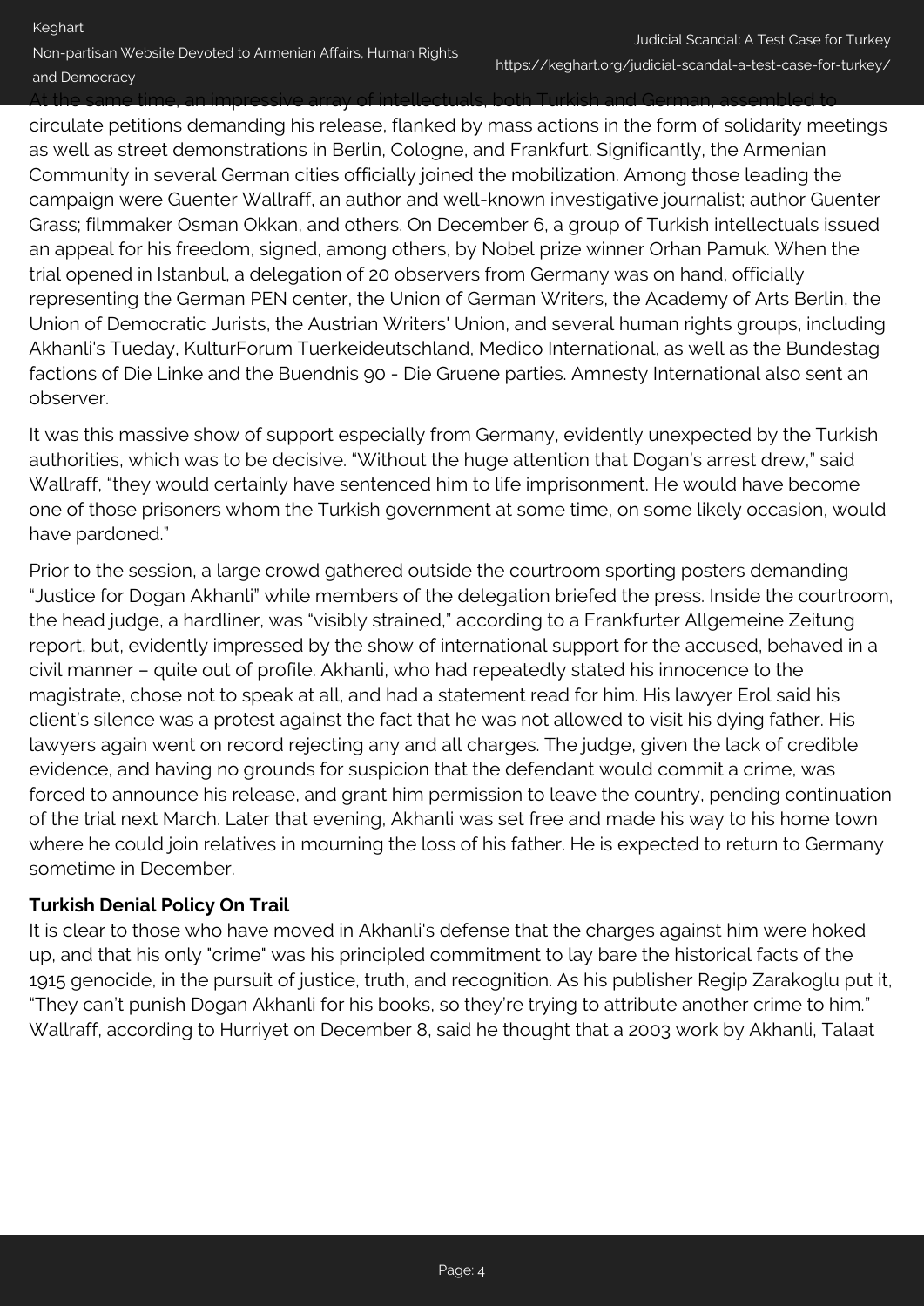At the same time, an impressive array of intellectuals, both Turkish and German, assembled to

circulate petitions demanding his release, flanked by mass actions in the form of solidarity meetings as well as street demonstrations in Berlin, Cologne, and Frankfurt. Significantly, the Armenian Community in several German cities officially joined the mobilization. Among those leading the campaign were Guenter Wallraff, an author and well-known investigative journalist; author Guenter Grass; filmmaker Osman Okkan, and others. On December 6, a group of Turkish intellectuals issued an appeal for his freedom, signed, among others, by Nobel prize winner Orhan Pamuk. When the trial opened in Istanbul, a delegation of 20 observers from Germany was on hand, officially representing the German PEN center, the Union of German Writers, the Academy of Arts Berlin, the Union of Democratic Jurists, the Austrian Writers' Union, and several human rights groups, including Akhanli's Tueday, KulturForum Tuerkeideutschland, Medico International, as well as the Bundestag factions of Die Linke and the Buendnis 90 - Die Gruene parties. Amnesty International also sent an observer.

It was this massive show of support especially from Germany, evidently unexpected by the Turkish authorities, which was to be decisive. "Without the huge attention that Dogan's arrest drew," said Wallraff, "they would certainly have sentenced him to life imprisonment. He would have become one of those prisoners whom the Turkish government at some time, on some likely occasion, would have pardoned."

Prior to the session, a large crowd gathered outside the courtroom sporting posters demanding "Justice for Dogan Akhanli" while members of the delegation briefed the press. Inside the courtroom, the head judge, a hardliner, was "visibly strained," according to a Frankfurter Allgemeine Zeitung report, but, evidently impressed by the show of international support for the accused, behaved in a civil manner – quite out of profile. Akhanli, who had repeatedly stated his innocence to the magistrate, chose not to speak at all, and had a statement read for him. His lawyer Erol said his client's silence was a protest against the fact that he was not allowed to visit his dying father. His lawyers again went on record rejecting any and all charges. The judge, given the lack of credible evidence, and having no grounds for suspicion that the defendant would commit a crime, was forced to announce his release, and grant him permission to leave the country, pending continuation of the trial next March. Later that evening, Akhanli was set free and made his way to his home town where he could join relatives in mourning the loss of his father. He is expected to return to Germany sometime in December.

#### **Turkish Denial Policy On Trail**

It is clear to those who have moved in Akhanli's defense that the charges against him were hoked up, and that his only "crime" was his principled commitment to lay bare the historical facts of the 1915 genocide, in the pursuit of justice, truth, and recognition. As his publisher Regip Zarakoglu put it, "They can't punish Dogan Akhanli for his books, so they're trying to attribute another crime to him." Wallraff, according to Hurriyet on December 8, said he thought that a 2003 work by Akhanli, Talaat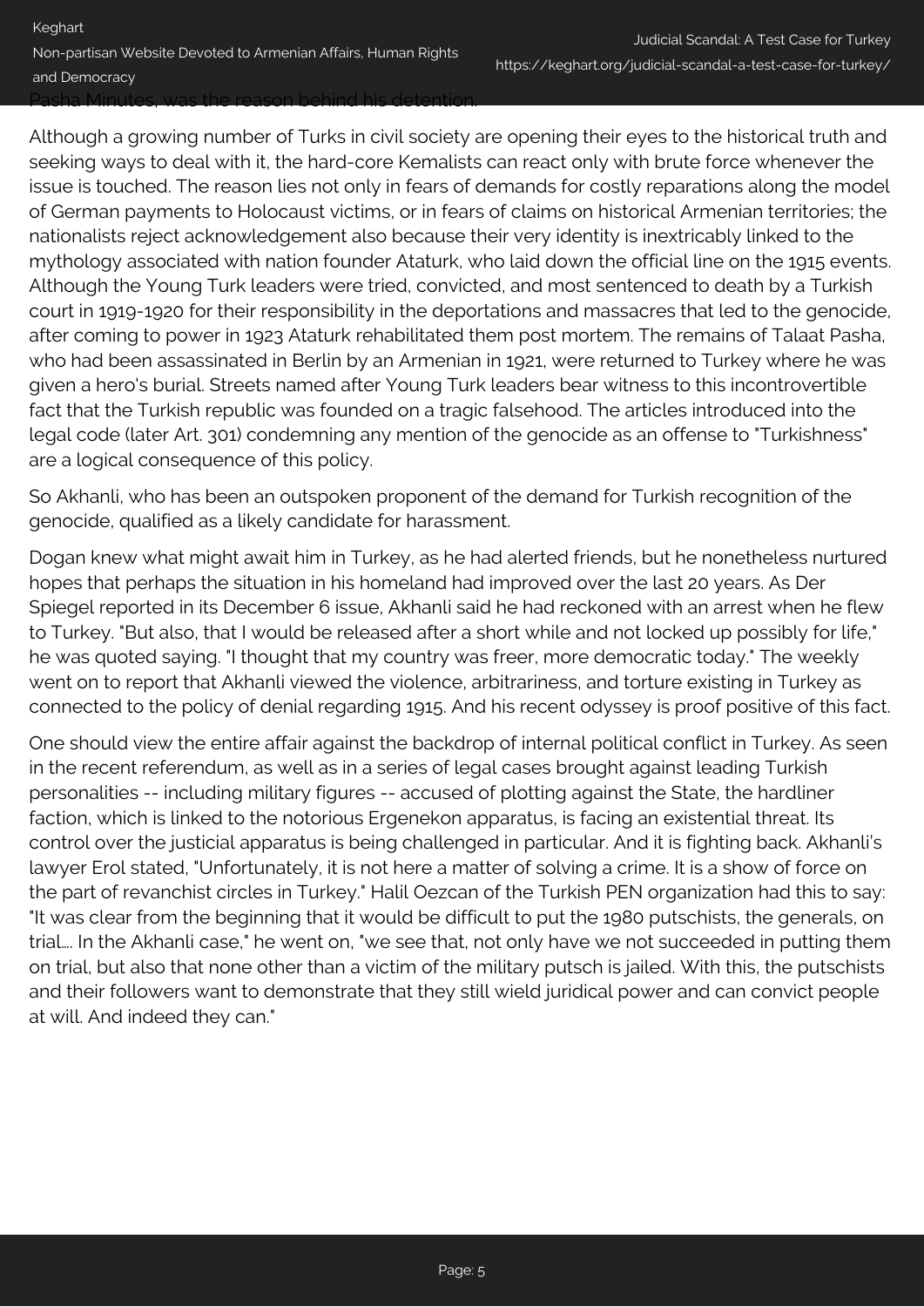Pasha Minutes, was the reason behind his detention.

Although a growing number of Turks in civil society are opening their eyes to the historical truth and seeking ways to deal with it, the hard-core Kemalists can react only with brute force whenever the issue is touched. The reason lies not only in fears of demands for costly reparations along the model of German payments to Holocaust victims, or in fears of claims on historical Armenian territories; the nationalists reject acknowledgement also because their very identity is inextricably linked to the mythology associated with nation founder Ataturk, who laid down the official line on the 1915 events. Although the Young Turk leaders were tried, convicted, and most sentenced to death by a Turkish court in 1919-1920 for their responsibility in the deportations and massacres that led to the genocide, after coming to power in 1923 Ataturk rehabilitated them post mortem. The remains of Talaat Pasha, who had been assassinated in Berlin by an Armenian in 1921, were returned to Turkey where he was given a hero's burial. Streets named after Young Turk leaders bear witness to this incontrovertible fact that the Turkish republic was founded on a tragic falsehood. The articles introduced into the legal code (later Art. 301) condemning any mention of the genocide as an offense to "Turkishness" are a logical consequence of this policy.

So Akhanli, who has been an outspoken proponent of the demand for Turkish recognition of the genocide, qualified as a likely candidate for harassment.

Dogan knew what might await him in Turkey, as he had alerted friends, but he nonetheless nurtured hopes that perhaps the situation in his homeland had improved over the last 20 years. As Der Spiegel reported in its December 6 issue, Akhanli said he had reckoned with an arrest when he flew to Turkey. "But also, that I would be released after a short while and not locked up possibly for life," he was quoted saying. "I thought that my country was freer, more democratic today." The weekly went on to report that Akhanli viewed the violence, arbitrariness, and torture existing in Turkey as connected to the policy of denial regarding 1915. And his recent odyssey is proof positive of this fact.

One should view the entire affair against the backdrop of internal political conflict in Turkey. As seen in the recent referendum, as well as in a series of legal cases brought against leading Turkish personalities -- including military figures -- accused of plotting against the State, the hardliner faction, which is linked to the notorious Ergenekon apparatus, is facing an existential threat. Its control over the justicial apparatus is being challenged in particular. And it is fighting back. Akhanli's lawyer Erol stated, "Unfortunately, it is not here a matter of solving a crime. It is a show of force on the part of revanchist circles in Turkey." Halil Oezcan of the Turkish PEN organization had this to say: "It was clear from the beginning that it would be difficult to put the 1980 putschists, the generals, on trial…. In the Akhanli case," he went on, "we see that, not only have we not succeeded in putting them on trial, but also that none other than a victim of the military putsch is jailed. With this, the putschists and their followers want to demonstrate that they still wield juridical power and can convict people at will. And indeed they can."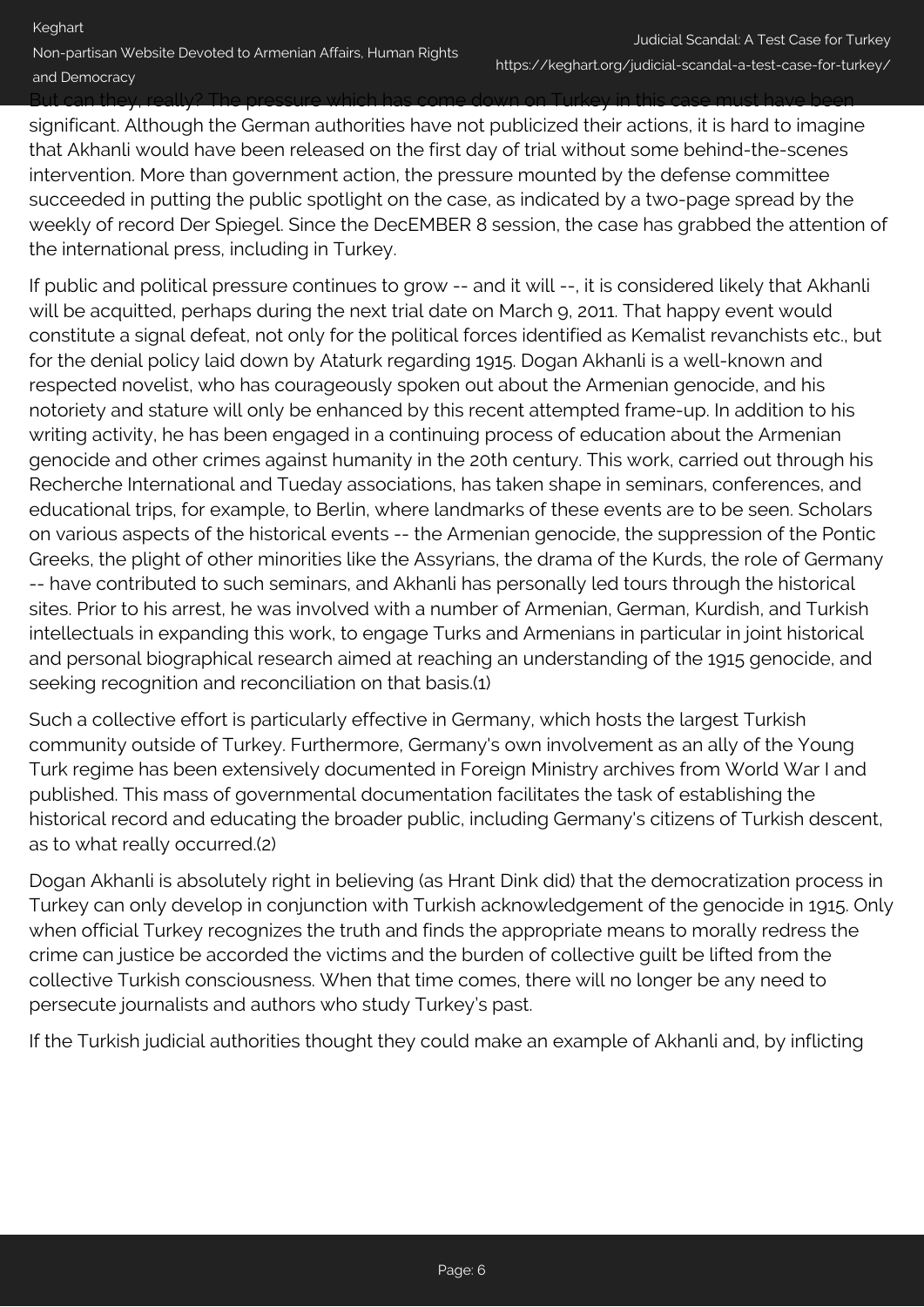But can they, really? The pressure which has come down on Turkey in this case must have been

significant. Although the German authorities have not publicized their actions, it is hard to imagine that Akhanli would have been released on the first day of trial without some behind-the-scenes intervention. More than government action, the pressure mounted by the defense committee succeeded in putting the public spotlight on the case, as indicated by a two-page spread by the weekly of record Der Spiegel. Since the DecEMBER 8 session, the case has grabbed the attention of the international press, including in Turkey.

If public and political pressure continues to grow -- and it will --, it is considered likely that Akhanli will be acquitted, perhaps during the next trial date on March 9, 2011. That happy event would constitute a signal defeat, not only for the political forces identified as Kemalist revanchists etc., but for the denial policy laid down by Ataturk regarding 1915. Dogan Akhanli is a well-known and respected novelist, who has courageously spoken out about the Armenian genocide, and his notoriety and stature will only be enhanced by this recent attempted frame-up. In addition to his writing activity, he has been engaged in a continuing process of education about the Armenian genocide and other crimes against humanity in the 20th century. This work, carried out through his Recherche International and Tueday associations, has taken shape in seminars, conferences, and educational trips, for example, to Berlin, where landmarks of these events are to be seen. Scholars on various aspects of the historical events -- the Armenian genocide, the suppression of the Pontic Greeks, the plight of other minorities like the Assyrians, the drama of the Kurds, the role of Germany -- have contributed to such seminars, and Akhanli has personally led tours through the historical sites. Prior to his arrest, he was involved with a number of Armenian, German, Kurdish, and Turkish intellectuals in expanding this work, to engage Turks and Armenians in particular in joint historical and personal biographical research aimed at reaching an understanding of the 1915 genocide, and seeking recognition and reconciliation on that basis.(1)

Such a collective effort is particularly effective in Germany, which hosts the largest Turkish community outside of Turkey. Furthermore, Germany's own involvement as an ally of the Young Turk regime has been extensively documented in Foreign Ministry archives from World War I and published. This mass of governmental documentation facilitates the task of establishing the historical record and educating the broader public, including Germany's citizens of Turkish descent, as to what really occurred.(2)

Dogan Akhanli is absolutely right in believing (as Hrant Dink did) that the democratization process in Turkey can only develop in conjunction with Turkish acknowledgement of the genocide in 1915. Only when official Turkey recognizes the truth and finds the appropriate means to morally redress the crime can justice be accorded the victims and the burden of collective guilt be lifted from the collective Turkish consciousness. When that time comes, there will no longer be any need to persecute journalists and authors who study Turkey's past.

If the Turkish judicial authorities thought they could make an example of Akhanli and, by inflicting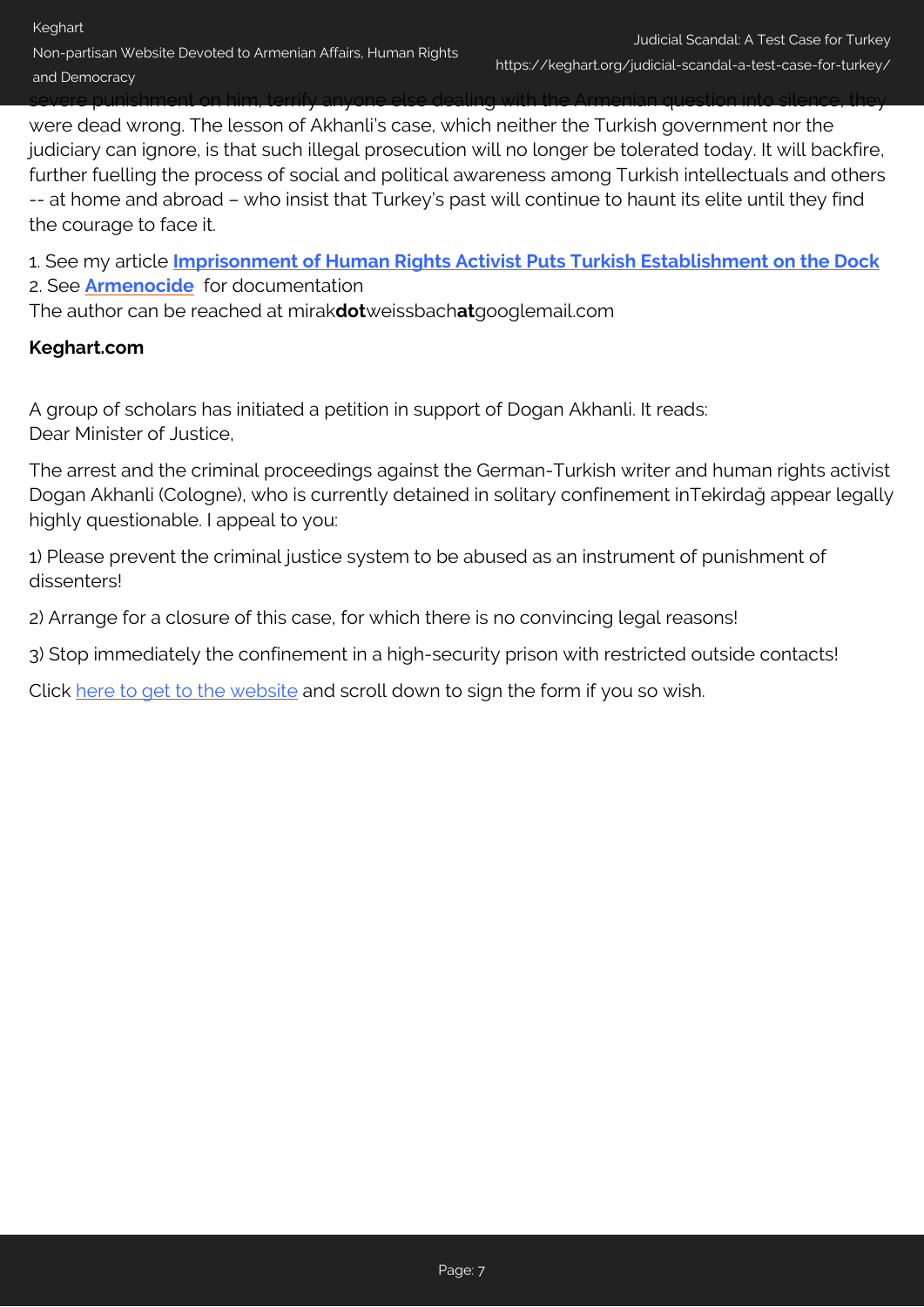### severe punishment on him, terrify anyone else dealing with the Armenian question into silence, they were dead wrong. The lesson of Akhanli's case, which neither the Turkish government nor the judiciary can ignore, is that such illegal prosecution will no longer be tolerated today. It will backfire, further fuelling the process of social and political awareness among Turkish intellectuals and others -- at home and abroad – who insist that Turkey's past will continue to haunt its elite until they find the courage to face it.

1. See my article **[Imprisonment of Human Rights Activist Puts Turkish Establishment on the Dock](http://www.globalresearch.ca/index.php?context=va&aid=20872)** 2. See **[Armenocide](http://www.armenocide.de/)** for documentation

The author can be reached at mirak**dot**weissbach**at**googlemail.com

# **Keghart.com**

A group of scholars has initiated a petition in support of Dogan Akhanli. It reads: Dear Minister of Justice,

The arrest and the criminal proceedings against the German-Turkish writer and human rights activist Dogan Akhanli (Cologne), who is currently detained in solitary confinement inTekirdağ appear legally highly questionable. I appeal to you:

1) Please prevent the criminal justice system to be abused as an instrument of punishment of dissenters!

2) Arrange for a closure of this case, for which there is no convincing legal reasons!

3) Stop immediately the confinement in a high-security prison with restricted outside contacts!

Click [here to get to the website](http://www.aga-online.org/de/aktionen/detail.php?newsId=395) and scroll down to sign the form if you so wish.